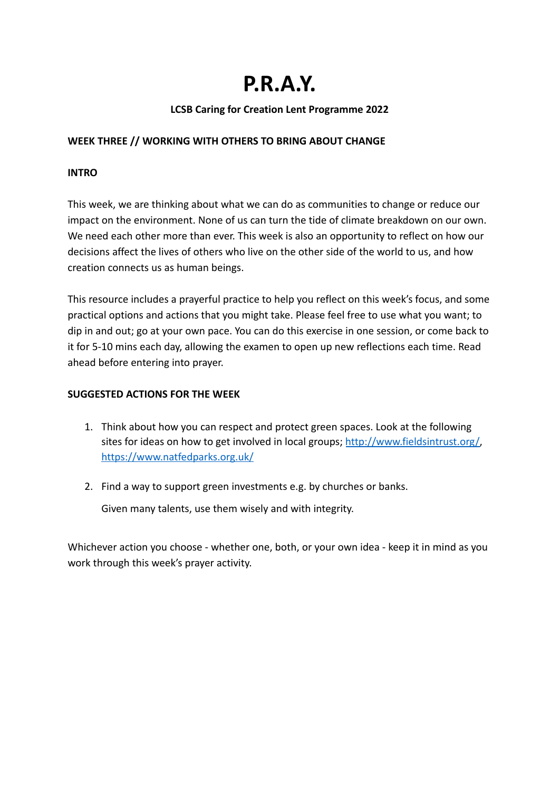# **P.R.A.Y.**

# **LCSB Caring for Creation Lent Programme 2022**

## **WEEK THREE // WORKING WITH OTHERS TO BRING ABOUT CHANGE**

### **INTRO**

This week, we are thinking about what we can do as communities to change or reduce our impact on the environment. None of us can turn the tide of climate breakdown on our own. We need each other more than ever. This week is also an opportunity to reflect on how our decisions affect the lives of others who live on the other side of the world to us, and how creation connects us as human beings.

This resource includes a prayerful practice to help you reflect on this week's focus, and some practical options and actions that you might take. Please feel free to use what you want; to dip in and out; go at your own pace. You can do this exercise in one session, or come back to it for 5-10 mins each day, allowing the examen to open up new reflections each time. Read ahead before entering into prayer.

### **SUGGESTED ACTIONS FOR THE WEEK**

- 1. Think about how you can respect and protect green spaces. Look at the following sites for ideas on how to get involved in local groups; http://www.fieldsintrust.org/ <https://www.natfedparks.org.uk/>
- 2. Find a way to support green investments e.g. by churches or banks.

Given many talents, use them wisely and with integrity.

Whichever action you choose - whether one, both, or your own idea - keep it in mind as you work through this week's prayer activity.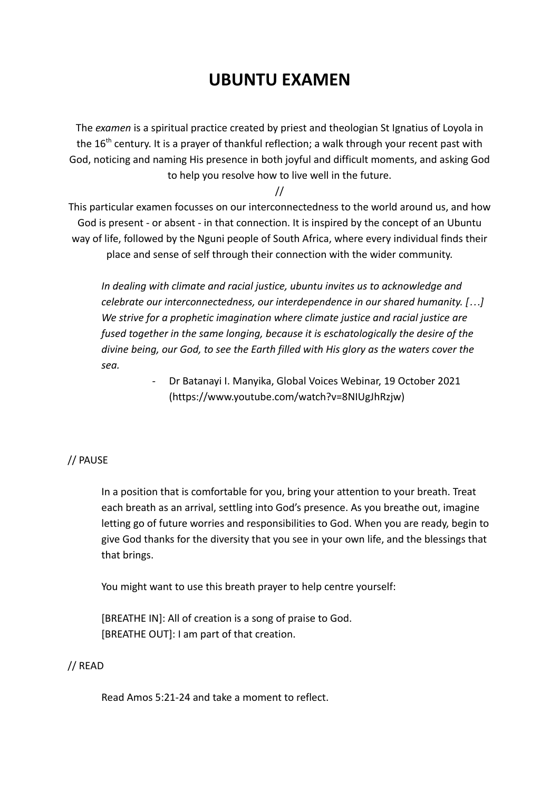# **UBUNTU EXAMEN**

The *examen* is a spiritual practice created by priest and theologian St Ignatius of Loyola in the  $16<sup>th</sup>$  century. It is a prayer of thankful reflection; a walk through your recent past with God, noticing and naming His presence in both joyful and difficult moments, and asking God to help you resolve how to live well in the future.

//

This particular examen focusses on our interconnectedness to the world around us, and how God is present - or absent - in that connection. It is inspired by the concept of an Ubuntu way of life, followed by the Nguni people of South Africa, where every individual finds their place and sense of self through their connection with the wider community.

*In dealing with climate and racial justice, ubuntu invites us to acknowledge and celebrate our interconnectedness, our interdependence in our shared humanity. […] We strive for a prophetic imagination where climate justice and racial justice are fused together in the same longing, because it is eschatologically the desire of the divine being, our God, to see the Earth filled with His glory as the waters cover the sea.*

> - Dr Batanayi I. Manyika, Global Voices Webinar, 19 October 2021 (https://www.youtube.com/watch?v=8NIUgJhRzjw)

# // PAUSE

In a position that is comfortable for you, bring your attention to your breath. Treat each breath as an arrival, settling into God's presence. As you breathe out, imagine letting go of future worries and responsibilities to God. When you are ready, begin to give God thanks for the diversity that you see in your own life, and the blessings that that brings.

You might want to use this breath prayer to help centre yourself:

[BREATHE IN]: All of creation is a song of praise to God. [BREATHE OUT]: I am part of that creation.

# // READ

Read Amos 5:21-24 and take a moment to reflect.